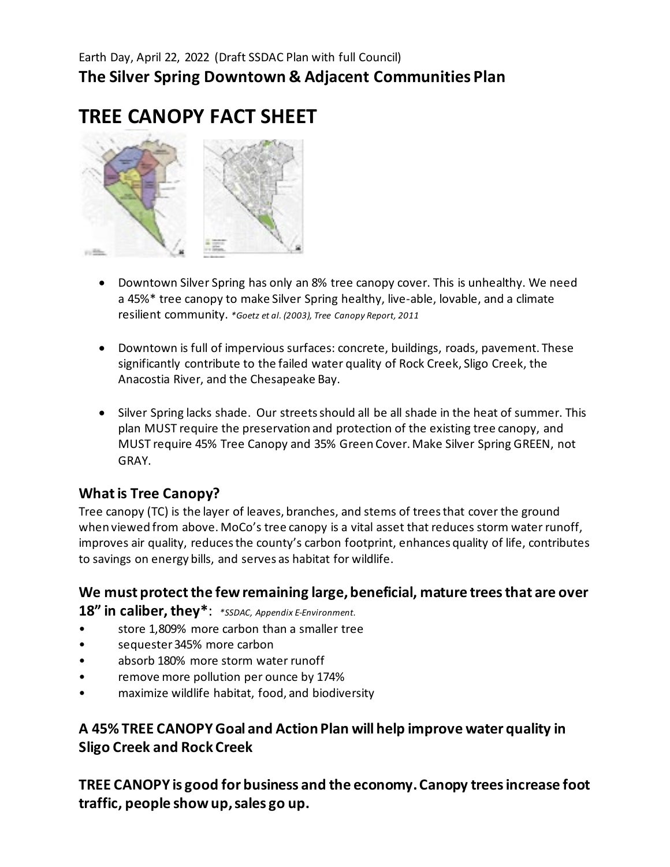# **TREE CANOPY FACT SHEET**



- Downtown Silver Spring has only an 8% tree canopy cover. This is unhealthy. We need a 45%\* tree canopy to make Silver Spring healthy, live-able, lovable, and a climate resilient community. *\*Goetz et al. (2003), Tree Canopy Report, 2011*
- Downtown is full of impervious surfaces: concrete, buildings, roads, pavement. These significantly contribute to the failed water quality of Rock Creek, Sligo Creek, the Anacostia River, and the Chesapeake Bay.
- Silver Spring lacks shade. Our streets should all be all shade in the heat of summer. This plan MUST require the preservation and protection of the existing tree canopy, and MUST require 45% Tree Canopy and 35% Green Cover. Make Silver Spring GREEN, not GRAY.

# **What is Tree Canopy?**

Tree canopy (TC) is the layer of leaves, branches, and stems of trees that cover the ground when viewed from above. MoCo's tree canopy is a vital asset that reduces storm water runoff, improves air quality, reduces the county's carbon footprint, enhances quality of life, contributes to savings on energy bills, and serves as habitat for wildlife.

**We must protect the few remaining large, beneficial, mature trees that are over 18" in caliber, they\***: *\*SSDAC, Appendix E-Environment.*

- store 1,809% more carbon than a smaller tree
- sequester 345% more carbon
- absorb 180% more storm water runoff
- remove more pollution per ounce by 174%
- maximize wildlife habitat, food, and biodiversity

# **A 45% TREE CANOPY Goal and Action Plan will help improve water quality in Sligo Creek and Rock Creek**

**TREE CANOPY is good for business and the economy. Canopy trees increase foot traffic, people show up, sales go up.**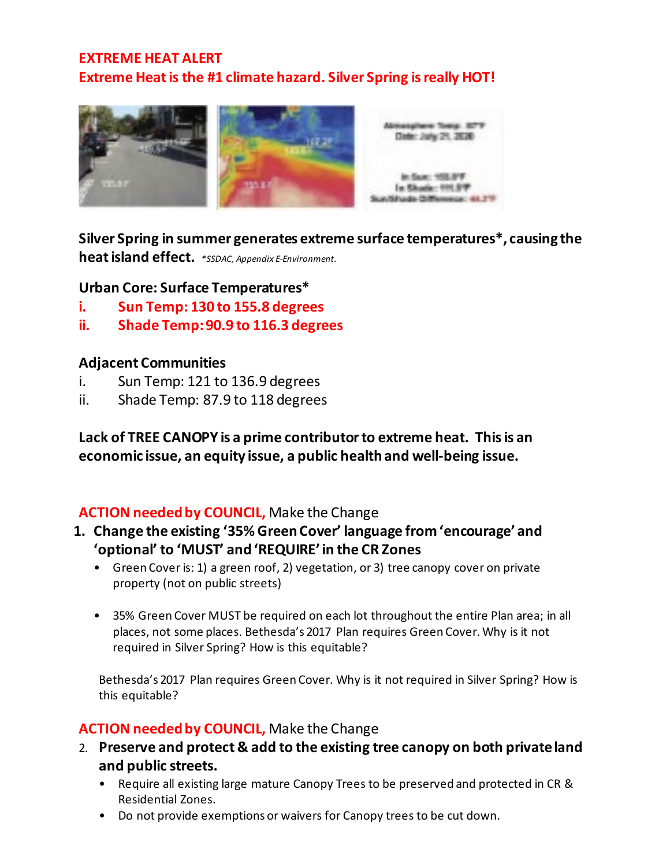# **EXTREME HEAT ALERT Extreme Heat is the #1 climate hazard. Silver Spring is really HOT!**



**Silver Spring in summer generates extreme surface temperatures\*, causing the heat island effect.** *\*SSDAC, Appendix E-Environment.*

### **Urban Core: Surface Temperatures\***

- **i. Sun Temp: 130 to 155.8 degrees**
- **ii. Shade Temp: 90.9 to 116.3 degrees**

#### **Adjacent Communities**

- i. Sun Temp: 121 to 136.9 degrees
- ii. Shade Temp: 87.9 to 118 degrees

**Lack of TREE CANOPY is a prime contributor to extreme heat. This is an economic issue, an equity issue, a public health and well-being issue.**

# **ACTION needed by COUNCIL,** Make the Change

- **1. Change the existing '35% Green Cover' language from 'encourage' and 'optional' to 'MUST' and 'REQUIRE' in the CR Zones**
	- Green Cover is: 1) a green roof, 2) vegetation, or 3) tree canopy cover on private property (not on public streets)
	- 35% Green Cover MUST be required on each lot throughout the entire Plan area; in all places, not some places. Bethesda's 2017 Plan requires Green Cover. Why is it not required in Silver Spring? How is this equitable?

Bethesda's 2017 Plan requires Green Cover. Why is it not required in Silver Spring? How is this equitable?

# **ACTION needed by COUNCIL,** Make the Change

- 2. **Preserve and protect & add to the existing tree canopy on both private land and public streets.**
	- Require all existing large mature Canopy Trees to be preserved and protected in CR & Residential Zones.
	- Do not provide exemptions or waivers for Canopy trees to be cut down.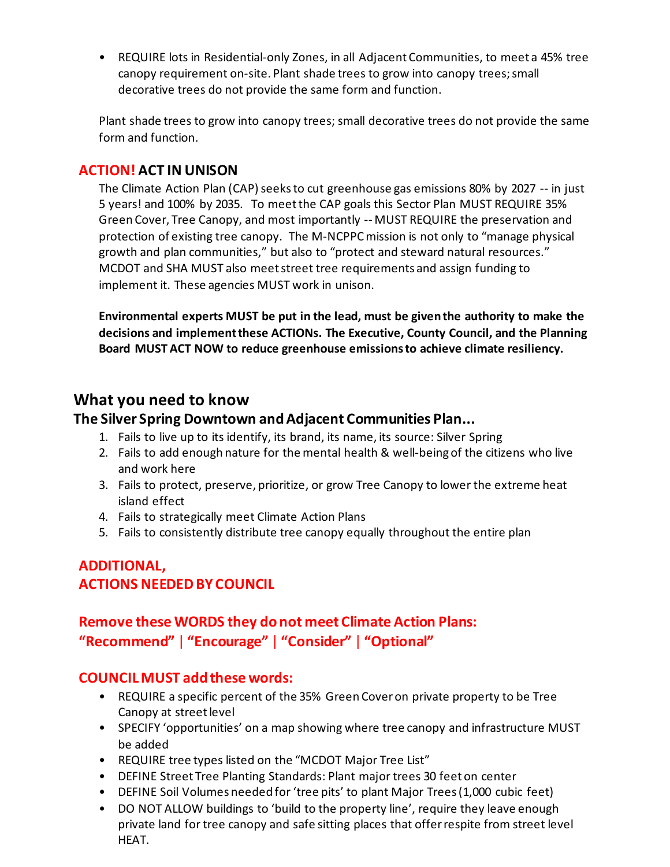• REQUIRE lots in Residential-only Zones, in all Adjacent Communities, to meet a 45% tree canopy requirement on-site. Plant shade trees to grow into canopy trees; small decorative trees do not provide the same form and function.

Plant shade trees to grow into canopy trees; small decorative trees do not provide the same form and function.

# **ACTION! ACT IN UNISON**

The Climate Action Plan (CAP) seeks to cut greenhouse gas emissions 80% by 2027 -- in just 5 years! and 100% by 2035. To meet the CAP goals this Sector Plan MUST REQUIRE 35% Green Cover, Tree Canopy, and most importantly -- MUST REQUIRE the preservation and protection of existing tree canopy. The M-NCPPC mission is not only to "manage physical growth and plan communities," but also to "protect and steward natural resources." MCDOT and SHA MUST also meet street tree requirements and assign funding to implement it. These agencies MUST work in unison.

**Environmental experts MUST be put in the lead, must be given the authority to make the decisions and implement these ACTIONs. The Executive, County Council, and the Planning Board MUST ACT NOW to reduce greenhouse emissions to achieve climate resiliency.**

# **What you need to know**

### **The Silver Spring Downtown and Adjacent Communities Plan...**

- 1. Fails to live up to its identify, its brand, its name, its source: Silver Spring
- 2. Fails to add enough nature for the mental health & well-being of the citizens who live and work here
- 3. Fails to protect, preserve, prioritize, or grow Tree Canopy to lower the extreme heat island effect
- 4. Fails to strategically meet Climate Action Plans
- 5. Fails to consistently distribute tree canopy equally throughout the entire plan

# **ADDITIONAL, ACTIONS NEEDED BY COUNCIL**

# **Remove these WORDS they do not meet Climate Action Plans: "Recommend"** | **"Encourage"** | **"Consider"** | **"Optional"**

# **COUNCIL MUST add these words:**

- REQUIRE a specific percent of the 35% Green Cover on private property to be Tree Canopy at street level
- SPECIFY 'opportunities' on a map showing where tree canopy and infrastructure MUST be added
- REQUIRE tree types listed on the "MCDOT Major Tree List"
- DEFINE Street Tree Planting Standards: Plant major trees 30 feet on center
- DEFINE Soil Volumes needed for 'tree pits' to plant Major Trees (1,000 cubic feet)
- DO NOT ALLOW buildings to 'build to the property line', require they leave enough private land for tree canopy and safe sitting places that offer respite from street level HEAT.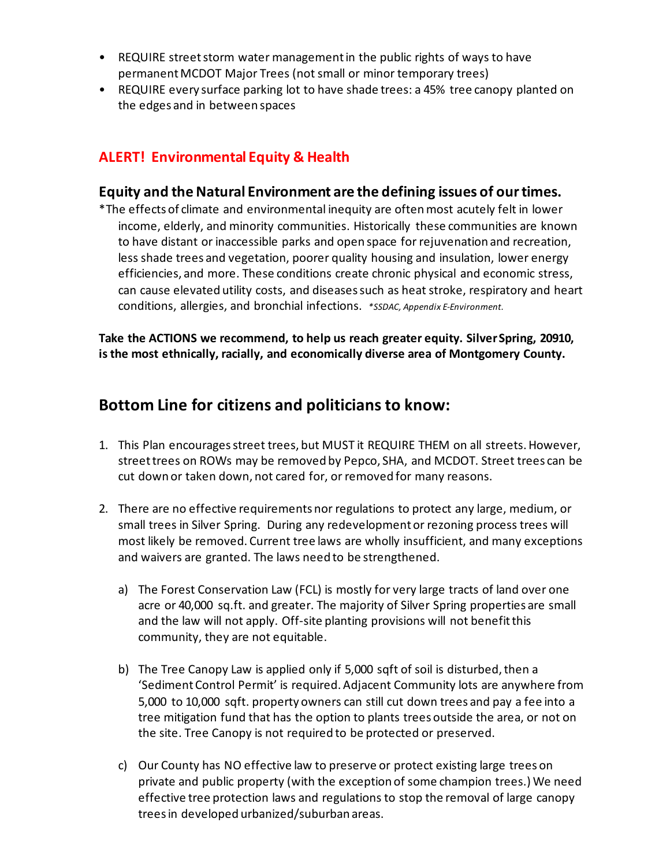- REQUIRE street storm water management in the public rights of ways to have permanent MCDOT Major Trees (not small or minor temporary trees)
- REQUIRE every surface parking lot to have shade trees: a 45% tree canopy planted on the edges and in between spaces

# **ALERT! Environmental Equity & Health**

#### **Equity and the Natural Environment are the defining issues of our times.**

\*The effects of climate and environmental inequity are often most acutely felt in lower income, elderly, and minority communities. Historically these communities are known to have distant or inaccessible parks and open space for rejuvenation and recreation, less shade trees and vegetation, poorer quality housing and insulation, lower energy efficiencies, and more. These conditions create chronic physical and economic stress, can cause elevated utility costs, and diseases such as heat stroke, respiratory and heart conditions, allergies, and bronchial infections. *\*SSDAC, Appendix E-Environment.*

**Take the ACTIONS we recommend, to help us reach greater equity. Silver Spring, 20910, is the most ethnically, racially, and economically diverse area of Montgomery County.**

# **Bottom Line for citizens and politicians to know:**

- 1. This Plan encourages street trees, but MUST it REQUIRE THEM on all streets. However, street trees on ROWs may be removed by Pepco, SHA, and MCDOT. Street trees can be cut down or taken down, not cared for, or removed for many reasons.
- 2. There are no effective requirements nor regulations to protect any large, medium, or small trees in Silver Spring. During any redevelopment or rezoning process trees will most likely be removed. Current tree laws are wholly insufficient, and many exceptions and waivers are granted. The laws need to be strengthened.
	- a) The Forest Conservation Law (FCL) is mostly for very large tracts of land over one acre or 40,000 sq.ft. and greater. The majority of Silver Spring properties are small and the law will not apply. Off-site planting provisions will not benefit this community, they are not equitable.
	- b) The Tree Canopy Law is applied only if 5,000 sqft of soil is disturbed, then a 'SedimentControl Permit' is required. Adjacent Community lots are anywhere from 5,000 to 10,000 sqft. property owners can still cut down trees and pay a fee into a tree mitigation fund that has the option to plants trees outside the area, or not on the site. Tree Canopy is not required to be protected or preserved.
	- c) Our County has NO effective law to preserve or protect existing large trees on private and public property (with the exception of some champion trees.) We need effective tree protection laws and regulations to stop the removal of large canopy trees in developed urbanized/suburban areas.